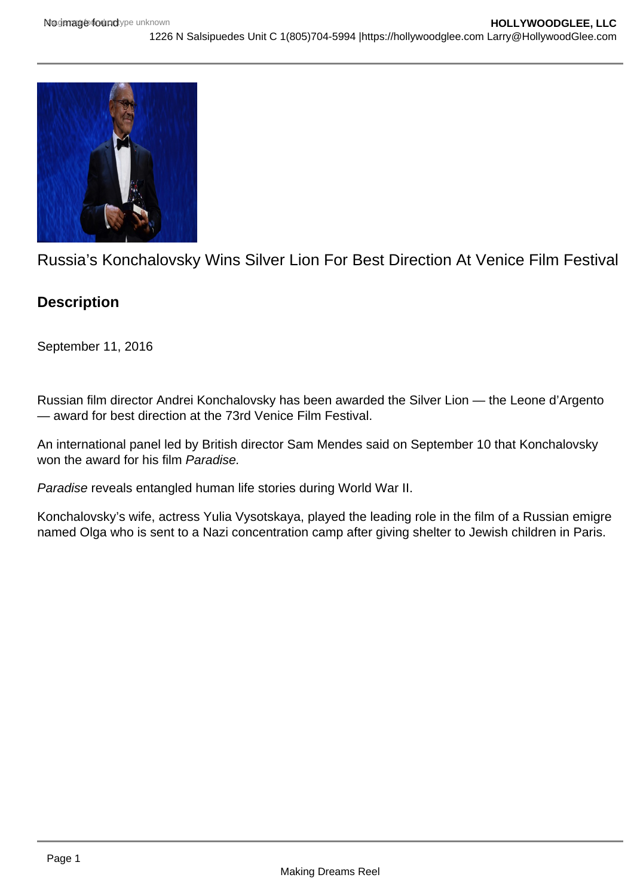

Russia's Konchalovsky Wins Silver Lion For Best Direction At Venice Film Festival

## **Description**

September 11, 2016

Russian film director Andrei Konchalovsky has been awarded the Silver Lion — the Leone d'Argento — award for best direction at the 73rd Venice Film Festival.

An international panel led by British director Sam Mendes said on September 10 that Konchalovsky won the award for his film Paradise.

Paradise reveals entangled human life stories during World War II.

Konchalovsky's wife, actress Yulia Vysotskaya, played the leading role in the film of a Russian emigre named Olga who is sent to a Nazi concentration camp after giving shelter to Jewish children in Paris.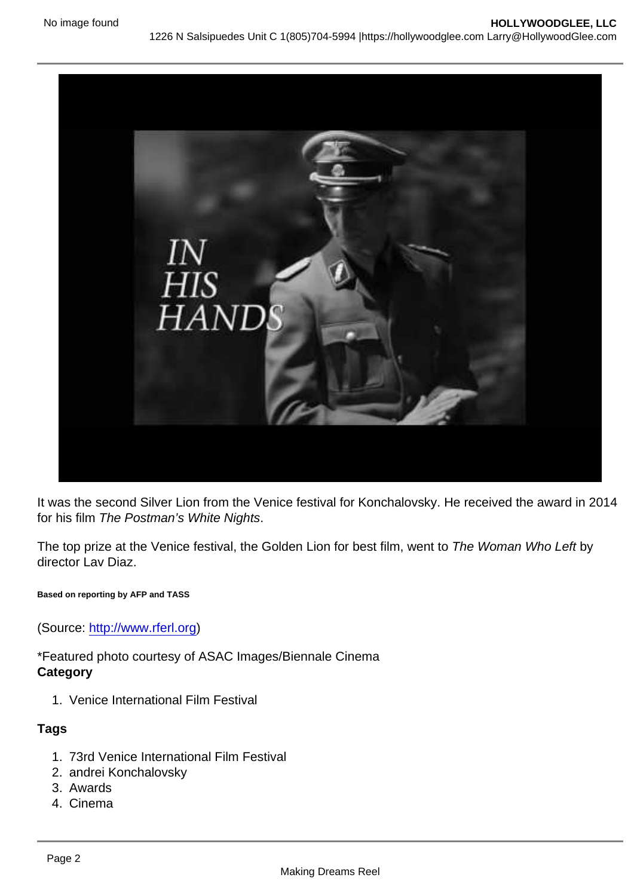It was the second Silver Lion from the Venice festival for Konchalovsky. He received the award in 2014 for his film The Postman's White Nights.

The top prize at the Venice festival, the Golden Lion for best film, went to The Woman Who Left by director Lav Diaz.

Based on reporting by AFP and TASS

(Source: <http://www.rferl.org>)

\*Featured photo courtesy of ASAC Images/Biennale Cinema **Category** 

1. Venice International Film Festival

Tags

- 1. 73rd Venice International Film Festival
- 2. andrei Konchalovsky
- 3. Awards
- 4. Cinema